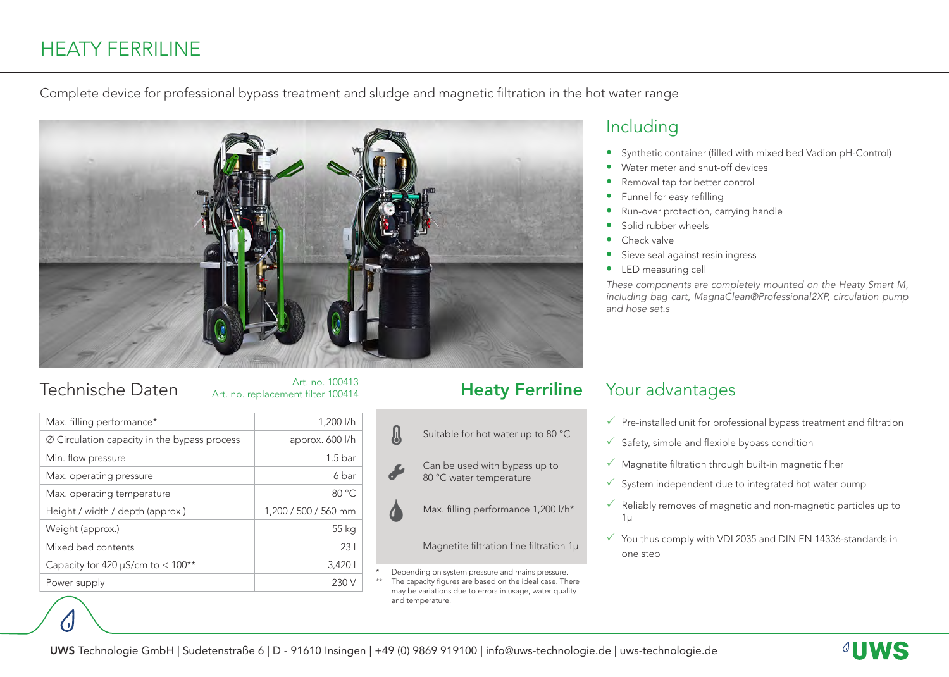# HEATY FERRILINE

Complete device for professional bypass treatment and sludge and magnetic filtration in the hot water range



# Technische Daten

|  | Art. no. replacement filter 100414 |  |
|--|------------------------------------|--|
|  |                                    |  |

| Max. filling performance*                                | 1,200 l/h            |
|----------------------------------------------------------|----------------------|
| $\varnothing$ Circulation capacity in the bypass process | approx. 600 l/h      |
| Min. flow pressure                                       | 1.5 <sub>bar</sub>   |
| Max. operating pressure                                  | 6 bar                |
| Max. operating temperature                               | 80 °C                |
| Height / width / depth (approx.)                         | 1,200 / 500 / 560 mm |
| Weight (approx.)                                         | 55 kg                |
| Mixed bed contents                                       | 231                  |
| Capacity for 420 $\mu$ S/cm to < 100**                   | 3,420                |
| Power supply                                             | 230                  |

### Heaty Ferriline

Suitable for hot water up to 80 °C Can be used with bypass up to 80 °C water temperature Max. filling performance 1,200 l/h\* Magnetite filtration fine filtration 1µ

Depending on system pressure and mains pressure. The capacity figures are based on the ideal case. There may be variations due to errors in usage, water quality and temperature.

# Including

- Synthetic container (filled with mixed bed Vadion pH-Control)
- Water meter and shut-off devices
- Removal tap for better control
- Funnel for easy refilling
- Run-over protection, carrying handle
- Solid rubber wheels
- Check valve
- Sieve seal against resin ingress
- LED measuring cell

*These components are completely mounted on the Heaty Smart M, including bag cart, MagnaClean®Professional2XP, circulation pump and hose set.s*

#### Your advantages

- $\sqrt{ }$  Pre-installed unit for professional bypass treatment and filtration
- $\checkmark$  Safety, simple and flexible bypass condition
- $\checkmark$  Magnetite filtration through built-in magnetic filter
- $\checkmark$  System independent due to integrated hot water pump
- $\sqrt{\ }$  Reliably removes of magnetic and non-magnetic particles up to 1µ
- $\checkmark$  You thus comply with VDI 2035 and DIN EN 14336-standards in one step

A